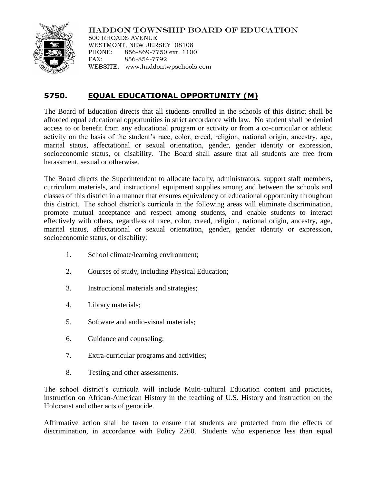HADDON TOWNSHIP BOARD OF EDUCATION

500 RHOADS AVENUE WESTMONT, NEW JERSEY 08108 PHONE: 856-869-7750 ext. 1100 FAX: 856-854-7792 WEBSITE: www.haddontwpschools.com

## **5750. EQUAL EDUCATIONAL OPPORTUNITY (M)**

The Board of Education directs that all students enrolled in the schools of this district shall be afforded equal educational opportunities in strict accordance with law. No student shall be denied access to or benefit from any educational program or activity or from a co-curricular or athletic activity on the basis of the student's race, color, creed, religion, national origin, ancestry, age, marital status, affectational or sexual orientation, gender, gender identity or expression, socioeconomic status, or disability. The Board shall assure that all students are free from harassment, sexual or otherwise.

The Board directs the Superintendent to allocate faculty, administrators, support staff members, curriculum materials, and instructional equipment supplies among and between the schools and classes of this district in a manner that ensures equivalency of educational opportunity throughout this district. The school district's curricula in the following areas will eliminate discrimination, promote mutual acceptance and respect among students, and enable students to interact effectively with others, regardless of race, color, creed, religion, national origin, ancestry, age, marital status, affectational or sexual orientation, gender, gender identity or expression, socioeconomic status, or disability:

- 1. School climate/learning environment;
- 2. Courses of study, including Physical Education;
- 3. Instructional materials and strategies;
- 4. Library materials;
- 5. Software and audio-visual materials;
- 6. Guidance and counseling;
- 7. Extra-curricular programs and activities;
- 8. Testing and other assessments.

The school district's curricula will include Multi-cultural Education content and practices, instruction on African-American History in the teaching of U.S. History and instruction on the Holocaust and other acts of genocide.

Affirmative action shall be taken to ensure that students are protected from the effects of discrimination, in accordance with Policy 2260. Students who experience less than equal